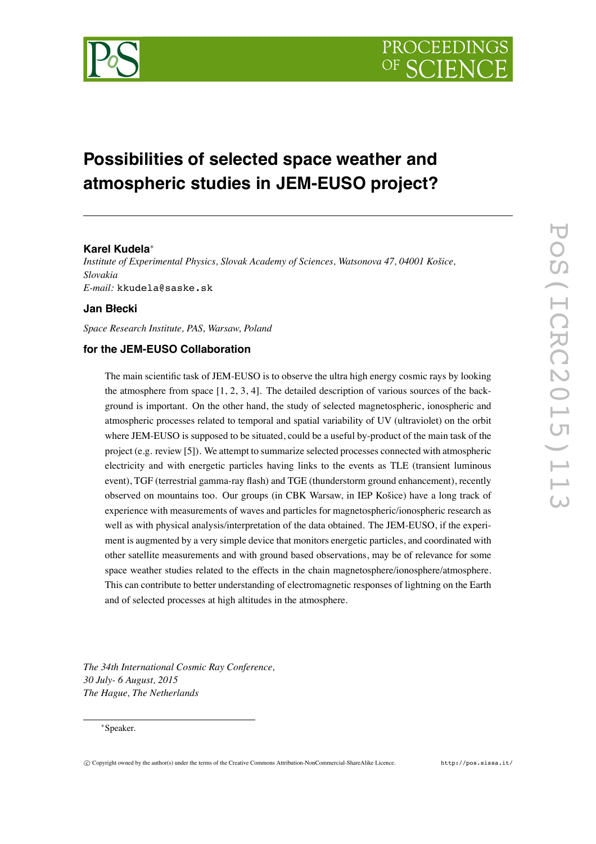

# **Possibilities of selected space weather and atmospheric studies in JEM-EUSO project?**

## **Karel Kudela** ∗

*Institute of Experimental Physics, Slovak Academy of Sciences, Watsonova 47, 04001 Ko šice, Slovakia E-mail:* kkudela@saske.sk

### **Jan B łecki**

*Space Research Institute, PAS, Warsaw, Poland*

### **for the JEM-EUSO Collaboration**

The main scientific task of JEM-EUSO is to observe the ultra high energy cosmic rays by looking the atmosphere from space  $[1, 2, 3, 4]$ . The detailed description of various sources of the background is important. On the other hand, the study of selected magnetospheric, ionospheric and atmospheric processes related to temporal and spatial variability of UV (ultraviolet) on the orbit where JEM-EUSO is supposed to be situated, could be a useful by-product of the main task of the project (e.g. review [5]). We attempt to summarize selected processes connected with atmospheric electricity and with energetic particles having links to the events as TLE (transient luminous event), TGF (terrestrial gamma-ray flash) and TGE (thunderstorm ground enhancement), recently observed on mountains too. Our groups (in CBK Warsaw, in IEP Ko šice) have a long track of experience with measurements of waves and particles for magnetospheric/ionospheric research as well as with physical analysis/interpretation of the data obtained. The JEM-EUSO, if the experiment is augmented by a very simple device that monitors energetic particles, and coordinated with other satellite measurements and with ground based observations, may be of relevance for some space weather studies related to the effects in the chain magnetosphere/ionosphere/atmosphere. This can contribute to better understanding of electromagnetic responses of lightning on the Earth and of selected processes at high altitudes in the atmosphere.

*The 34th International Cosmic Ray Conference, 30 July- 6 August, 2015 The Hague, The Netherlands*

#### <sup>∗</sup>Speaker.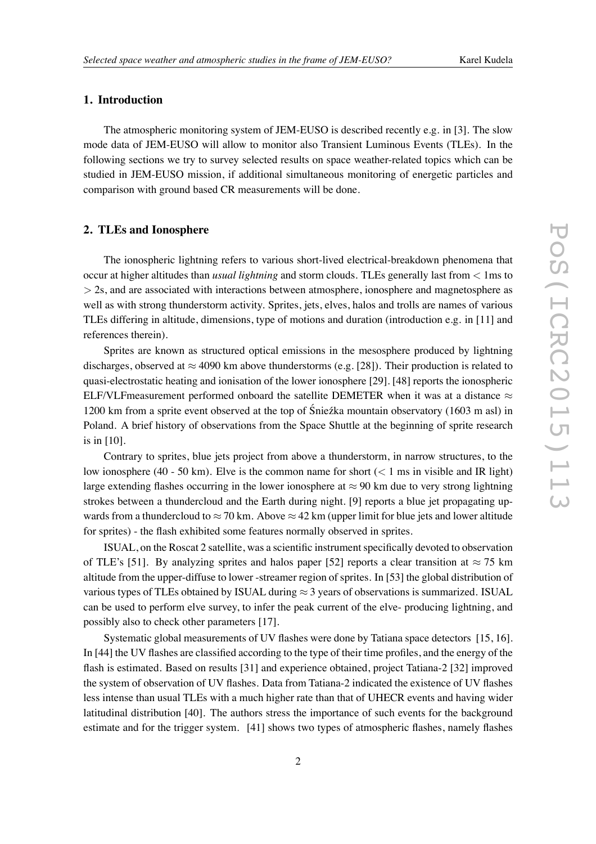#### **1. Introduction**

The atmospheric monitoring system of JEM-EUSO is described recently e.g. in [3]. The slow mode data of JEM-EUSO will allow to monitor also Transient Luminous Events (TLEs). In the following sections we try to survey selected results on space weather-related topics which can be studied in JEM-EUSO mission, if additional simultaneous monitoring of energetic particles and comparison with ground based CR measurements will be done.

#### **2. TLEs and Ionosphere**

The ionospheric lightning refers to various short-lived electrical-breakdown phenomena that occur at higher altitudes than *usual lightning* and storm clouds. TLEs generally last from < 1ms to > 2s, and are associated with interactions between atmosphere, ionosphere and magnetosphere as well as with strong thunderstorm activity. Sprites, jets, elves, halos and trolls are names of various TLEs differing in altitude, dimensions, type of motions and duration (introduction e.g. in [11] and references therein).

Sprites are known as structured optical emissions in the mesosphere produced by lightning discharges, observed at  $\approx$  4090 km above thunderstorms (e.g. [28]). Their production is related to quasi-electrostatic heating and ionisation of the lower ionosphere [29]. [48] reports the ionospheric ELF/VLFmeasurement performed onboard the satellite DEMETER when it was at a distance  $\approx$ 1200 km from a sprite event observed at the top of Śnieźka mountain observatory (1603 m asl) in Poland. A brief history of observations from the Space Shuttle at the beginning of sprite research is in [10].

Contrary to sprites, blue jets project from above a thunderstorm, in narrow structures, to the low ionosphere (40 - 50 km). Elve is the common name for short  $(< 1 \text{ ms in visible and IR light})$ large extending flashes occurring in the lower ionosphere at  $\approx$  90 km due to very strong lightning strokes between a thundercloud and the Earth during night. [9] reports a blue jet propagating upwards from a thundercloud to  $\approx$  70 km. Above  $\approx$  42 km (upper limit for blue jets and lower altitude for sprites) - the flash exhibited some features normally observed in sprites .

ISUAL, on the Roscat 2 satellite, was a scientific instrument specifically devoted to observation of TLE's [51]. By analyzing sprites and halos paper [52] reports a clear transition at  $\approx 75$  km altitude from the upper-diffuse to lower -streamer region of sprites. In [53] the global distribution of various types of TLEs obtained by ISUAL during  $\approx$  3 years of observations is summarized. ISUAL can be used to perform elve survey, to infer the peak current of the elve- producing lightning, and possibly also to check other parameters [17].

Systematic global measurements of UV flashes were done by Tatiana space detectors [15, 16]. In [44] the UV flashes are classified according to the type of their time profiles, and the energy of the flash is estimated. Based on results [31] and experience obtained, project Tatiana-2 [32] improved the system of observation of UV flashes. Data from Tatiana-2 indicated the existence of UV flashes less intense than usual TLEs with a much higher rate than that of UHECR events and having wider latitudinal distribution [40]. The authors stress the importance of such events for the background estimate and for the trigger system. [41] shows two types of atmospheric flashes, namely flashes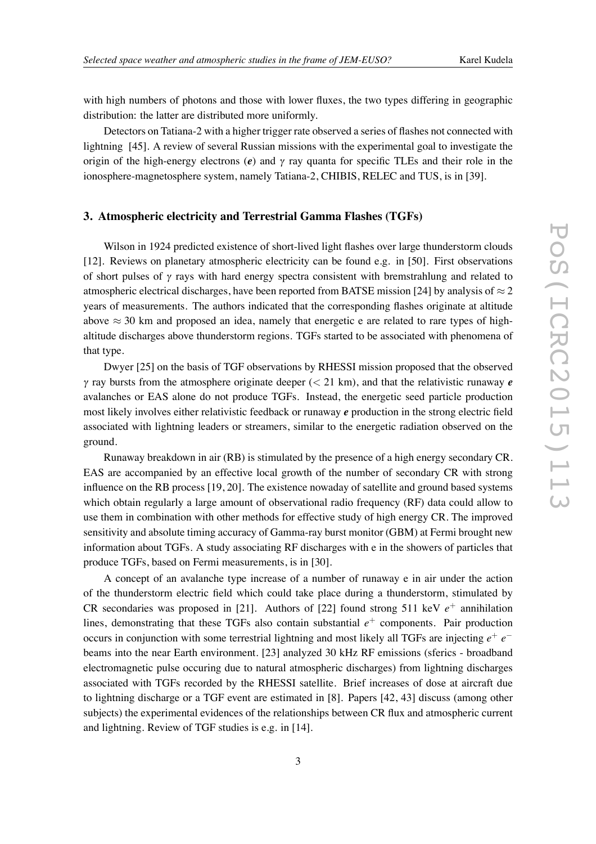with high numbers of photons and those with lower fluxes, the two types differing in geographic distribution: the latter are distributed more uniformly.

Detectors on Tatiana-2 with a higher trigger rate observed a series of flashes not connected with lightning [45]. A review of several Russian missions with the experimental goal to investigate the origin of the high-energy electrons ( *e*) and <sup>γ</sup> ray quanta for specific TLEs and their role in the ionosphere-magnetosphere system, namely Tatiana-2, CHIBIS, RELEC and TUS, is in [39].

#### **3. Atmospheric electricity and Terrestrial Gamma Flashes (TGFs)**

Wilson in 1924 predicted existence of short-lived light flashes over large thunderstorm clouds [12]. Reviews on planetary atmospheric electricity can be found e.g. in [50]. First observations of short pulses of <sup>γ</sup> rays with hard energy spectra consistent with bremstrahlung and related to atmospheric electrical discharges, have been reported from BATSE mission [24] by analysis of  $\approx$  2 years of measurements. The authors indicated that the corresponding flashes originate at altitude above  $\approx$  30 km and proposed an idea, namely that energetic e are related to rare types of highaltitude discharges above thunderstorm regions. TGFs started to be associated with phenomena of that type.

Dwyer [25] on the basis of TGF observations by RHESSI mission proposed that the observed <sup>γ</sup> ray bursts from the atmosphere originate deeper ( < 21 km), and that the relativistic runaway *e* avalanches or EAS alone do not produce TGFs. Instead, the energetic seed particle production most likely involves either relativistic feedback or runaway *e* production in the strong electric field associated with lightning leaders or streamers, similar to the energetic radiation observed on the ground.

Runaway breakdown in air (RB) is stimulated by the presence of a high energy secondary CR. EAS are accompanied by an effective local growth of the number of secondary CR with strong influence on the RB process [19, 20]. The existence nowaday of satellite and ground based systems which obtain regularly a large amount of observational radio frequency (RF) data could allow to use them in combination with other methods for effective study of high energy CR. The improved sensitivity and absolute timing accuracy of Gamma-ray burst monitor (GBM) at Fermi brought new information about TGFs. A study associating RF discharges with e in the showers of particles that produce TGFs, based on Fermi measurements, is in [30].

A concept of an avalanche type increase of a number of runaway e in air under the action of the thunderstorm electric field which could take place during a thunderstorm, stimulated by CR secondaries was proposed in [21]. Authors of [22] found strong 511 keV  $e^+$  annihilation lines, demonstrating that these TGFs also contain substantial  $e^+$  components. Pair production occurs in conjunction with some terrestrial lightning and most likely all TGFs are injecting *e* + *e* − beams into the near Earth environment. [23] analyzed 30 kHz RF emissions (sferics - broadband electromagnetic pulse occuring due to natural atmospheric discharges) from lightning discharges associated with TGFs recorded by the RHESSI satellite. Brief increases of dose at aircraft due to lightning discharge or a TGF event are estimated in [8]. Papers [42, 43] discuss (among other subjects) the experimental evidences of the relationships between CR flux and atmospheric current and lightning. Review of TGF studies is e.g. in [14].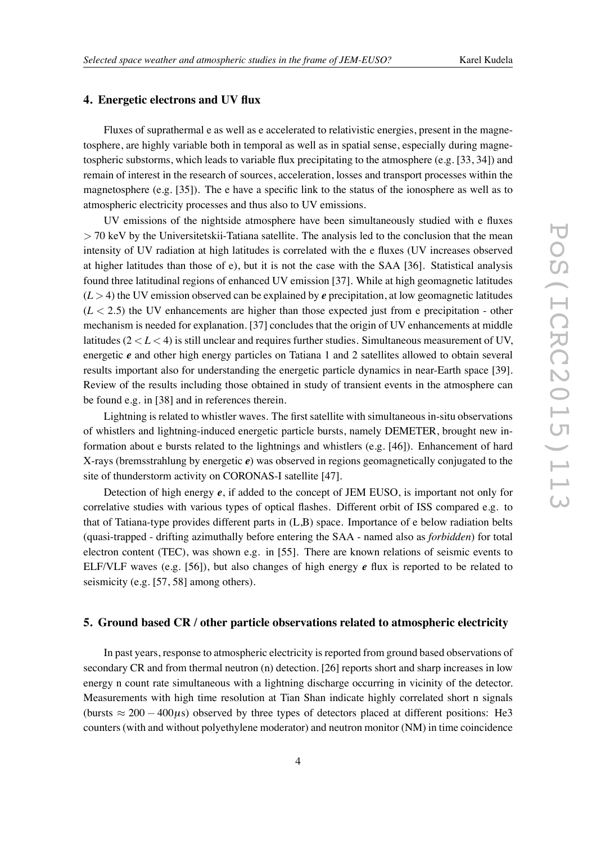#### **4. Energetic electrons and UV flux**

Fluxes of suprathermal e as well as e accelerated to relativistic energies, present in the magnetosphere, are highly variable both in temporal as well as in spatial sense, especially during magnetospheric substorms, which leads to variable flux precipitating to the atmosphere (e.g. [33, 34]) and remain of interest in the research of sources, acceleration, losses and transport processes within the magnetosphere (e.g.  $[35]$ ). The e have a specific link to the status of the ionosphere as well as to atmospheric electricity processes and thus also to UV emissions.

UV emissions of the nightside atmosphere have been simultaneously studied with e fluxes > 70 keV by the Universitetskii-Tatiana satellite. The analysis led to the conclusion that the mean intensity of UV radiation at high latitudes is correlated with the e fluxes (UV increases observed at higher latitudes than those of e), but it is not the case with the SAA [36]. Statistical analysis found three latitudinal regions of enhanced UV emission [37]. While at high geomagnetic latitudes  $(L > 4)$  the UV emission observed can be explained by *e* precipitation, at low geomagnetic latitudes  $(L < 2.5)$  the UV enhancements are higher than those expected just from e precipitation - other mechanism is needed for explanation. [37] concludes that the origin of UV enhancements at middle latitudes (2 < L < 4) is still unclear and requires further studies. Simultaneous measurement of UV, energetic *e* and other high energy particles on Tatiana 1 and 2 satellites allowed to obtain several results important also for understanding the energetic particle dynamics in near-Earth space [39]. Review of the results including those obtained in study of transient events in the atmosphere can be found e.g. in [38] and in references therein.

Lightning is related to whistler waves. The first satellite with simultaneous in-situ observations of whistlers and lightning-induced energetic particle bursts, namely DEMETER, brought new information about e bursts related to the lightnings and whistlers (e.g. [46]). Enhancement of hard X-rays (bremsstrahlung by energetic *e*) was observed in regions geomagnetically conjugated to the site of thunderstorm activity on CORONAS-I satellite [47].

Detection of high energy *e*, if added to the concept of JEM EUSO, is important not only for correlative studies with various types of optical flashes. Different orbit of ISS compared e.g. to that of Tatiana-type provides different parts in (L,B) space. Importance of e below radiation belts (quasi-trapped - drifting azimuthally before entering the SAA - named also as *forbidden*) for total electron content (TEC), was shown e.g. in [55]. There are known relations of seismic events to ELF/VLF waves (e.g. [56]), but also changes of high energy *e* flux is reported to be related to seismicity (e.g. [57, 58] among others).

#### **5. Ground based CR / other particle observations related to atmospheric electricity**

In past years, response to atmospheric electricity is reported from ground based observations of secondary CR and from thermal neutron (n) detection. [26] reports short and sharp increases in low energy n count rate simultaneous with a lightning discharge occurring in vicinity of the detector. Measurements with high time resolution at Tian Shan indicate highly correlated short n signals (bursts  $\approx 200 - 400 \mu s$ ) observed by three types of detectors placed at different positions: He3 counters (with and without polyethylene moderator) and neutron monitor (NM) in time coincidence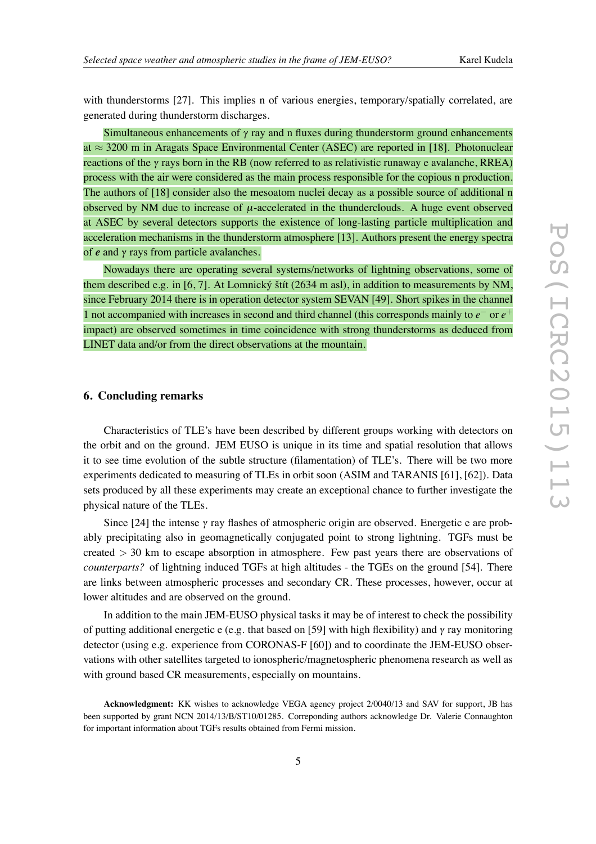with thunderstorms [27]. This implies n of various energies, temporary/spatially correlated, are generated during thunderstorm discharges.

Simultaneous enhancements of  $\gamma$  ray and n fluxes during thunderstorm ground enhancements at ≈ 3200 m in Aragats Space Environmental Center (ASEC) are reported in [18]. Photonuclear reactions of the  $\gamma$  rays born in the RB (now referred to as relativistic runaway e avalanche, RREA) process with the air were considered as the main process responsible for the copious n production. The authors of [18] consider also the mesoatom nuclei decay as a possible source of additional n observed by NM due to increase of  $\mu$ -accelerated in the thunderclouds. A huge event observed at ASEC by several detectors supports the existence of long-lasting particle multiplication and acceleration mechanisms in the thunderstorm atmosphere [13]. Authors present the energy spectra of *e* and <sup>γ</sup> rays from particle avalanches.

Nowadays there are operating several systems/networks of lightning observations, some of them described e.g. in [6, 7]. At Lomnický štít (2634 m asl), in addition to measurements by NM, since February 2014 there is in operation detector system SEVAN [49]. Short spikes in the channel 1 not accompanied with increases in second and third channel (this corresponds mainly to *e*<sup>−</sup> or *e*<sup>+</sup> impact) are observed sometimes in time coincidence with strong thunderstorms as deduced from LINET data and/or from the direct observations at the mountain.

#### **6. Concluding remarks**

Characteristics of TLE's have been described by different groups working with detectors on the orbit and on the ground. JEM EUSO is unique in its time and spatial resolution that allows it to see time evolution of the subtle structure (filamentation) of TLE's. There will be two more experiments dedicated to measuring of TLEs in orbit soon (ASIM and TARANIS [61], [62]). Data sets produced by all these experiments may create an exceptional chance to further investigate the physical nature of the TLEs.

Since [24] the intense γ ray flashes of atmospheric origin are observed. Energetic e are probably precipitating also in geomagnetically conjugated point to strong lightning. TGFs must be created > 30 km to escape absorption in atmosphere. Few past years there are observations of *counterparts?* of lightning induced TGFs at high altitudes - the TGEs on the ground [54]. There are links between atmospheric processes and secondary CR. These processes, however, occur at lower altitudes and are observed on the ground.

In addition to the main JEM-EUSO physical tasks it may be of interest to check the possibility of putting additional energetic e (e.g. that based on [59] with high flexibility) and <sup>γ</sup> ray monitoring detector (using e.g. experience from CORONAS-F [60]) and to coordinate the JEM-EUSO observations with other satellites targeted to ionospheric/magnetospheric phenomena research as well as with ground based CR measurements, especially on mountains.

**Acknowledgment:** KK wishes to acknowledge VEGA agency project 2/0040/13 and SAV for support, JB has been supported by grant NCN 2014/13/B/ST10/01285. Correponding authors acknowledge Dr. Valerie Connaughton for important information about TGFs results obtained from Fermi mission.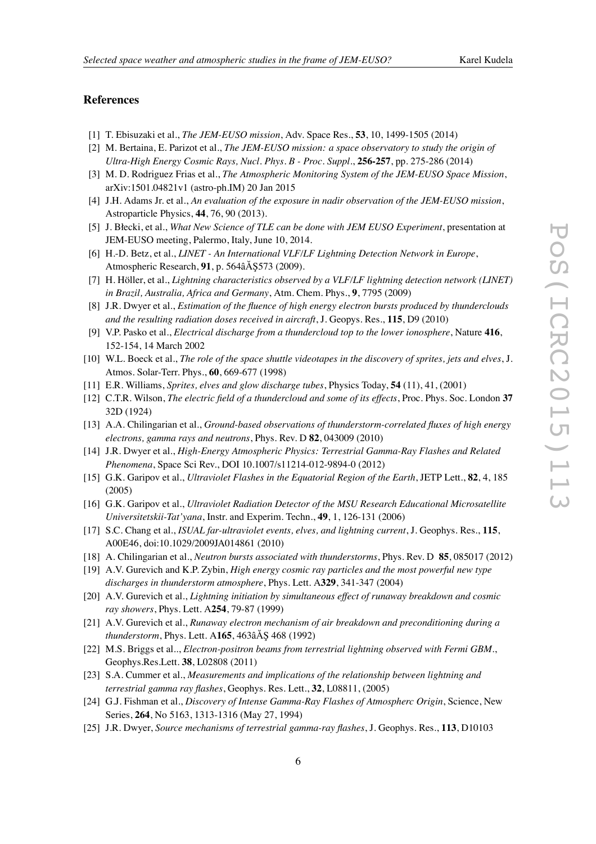#### **References**

- [1] T. Ebisuzaki et al., *The JEM-EUSO mission*, Adv. Space Res., **53**, 10, 1499-1505 (2014)
- [2] M. Bertaina, E. Parizot et al., *The JEM-EUSO mission: a space observatory to study the origin of Ultra-High Energy Cosmic Rays, Nucl. Phys. B - Proc. Suppl.* , **256-257**, pp. 275-286 (2014)
- [3] M. D. Rodriguez Frias et al., *The Atmospheric Monitoring System of the JEM-EUSO Space Mission* , arXiv:1501.04821v1 (astro-ph.IM) 20 Jan 2015
- [4] J.H. Adams Jr. et al., *An evaluation of the exposure in nadir observation of the JEM-EUSO mission* , Astroparticle Physics, **44**, 76, 90 (2013).
- [5] J. B łecki, et al., *What New Science of TLE can be done with JEM EUSO Experiment*, presentation at JEM-EUSO meeting, Palermo, Italy, June 10, 2014.
- [6] H.-D. Betz, et al., *LINET An International VLF/LF Lightning Detection Network in Europe* , Atmospheric Research, **91**, p. 564âÅ § 573 (2009).
- [7] H. Höller, et al., *Lightning characteristics observed by a VLF/LF lightning detection network (LINET) in Brazil, Australia, Africa and Germany*, Atm. Chem. Phys., **9**, 7795 (2009)
- [8] J.R. Dwyer et al., *Estimation of the fluence of high energy electron bursts produced by thunderclouds and the resulting radiation doses received in aircraft*, J. Geopys. Res., **115**, D9 (2010)
- [9] V.P. Pasko et al., *Electrical discharge from a thundercloud top to the lower ionosphere*, Nature **416** , 152-154, 14 March 2002
- [10] W.L. Boeck et al., *The role of the space shuttle videotapes in the discovery of sprites, jets and elves*, J. Atmos. Solar-Terr. Phys., **60**, 669-677 (1998)
- [11] E.R. Williams, *Sprites, elves and glow discharge tubes*, Physics Today, **54** (11), 41, (2001)
- [12] C.T.R. Wilson, *The electric field of a thundercloud and some of its effects*, Proc. Phys. Soc. London **37** 32D (1924)
- [13] A.A. Chilingarian et al., *Ground-based observations of thunderstorm-correlated fluxes of high energy electrons, gamma rays and neutrons*, Phys. Rev. D **82**, 043009 (2010)
- [14] J.R. Dwyer et al., *High-Energy Atmospheric Physics: Terrestrial Gamma-Ray Flashes and Related Phenomena*, Space Sci Rev., DOI 10.1007/s11214-012-9894-0 (2012)
- [15] G.K. Garipov et al., *Ultraviolet Flashes in the Equatorial Region of the Earth*, JETP Lett., **82**, 4, 185 (2005)
- [16] G.K. Garipov et al., *Ultraviolet Radiation Detector of the MSU Research Educational Microsatellite Universitetskii-Tat'yana*, Instr. and Experim. Techn., **49**, 1, 126-131 (2006)
- [17] S.C. Chang et al., *ISUAL far-ultraviolet events, elves, and lightning curren t*, J. Geophys. Res., **115** , A00E46, doi:10.1029/2009JA014861 (2010)
- [18] A. Chilingarian et al., *Neutron bursts associated with thunderstorms*, Phys. Rev. D **85**, 085017 (2012)
- [19] A.V. Gurevich and K.P. Zybin, *High energy cosmic ray particles and the most powerful new type discharges in thunderstorm atmosphere*, Phys. Lett. A**329**, 341-347 (2004)
- [20] A.V. Gurevich et al., *Lightning initiation by simultaneous effect of runaway breakdown and cosmic ray showers*, Phys. Lett. A**254**, 79-87 (1999)
- [21] A.V. Gurevich et al., *Runaway electron mechanism of air breakdown and preconditioning during a thunderstorm*, Phys. Lett. A165, 463âÅ § 468 (1992)
- [22] M.S. Briggs et al.., *Electron-positron beams from terrestrial lightning observed with Fermi GBM.* , Geophys.Res.Lett. **38**, L02808 (2011)
- [23] S.A. Cummer et al., *Measurements and implications of the relationship between lightning and terrestrial gamma ray flashes*, Geophys. Res. Lett., **32**, L08811, (2005)
- [24] G.J. Fishman et al., *Discovery of Intense Gamma-Ray Flashes of Atmospherc Origi n*, Science, New Series, **264**, No 5163, 1313-1316 (May 27, 1994)
- [25] J.R. Dwyer, *Source mechanisms of terrestrial gamma-ray flashes*, J. Geophys. Res., **113**, D10103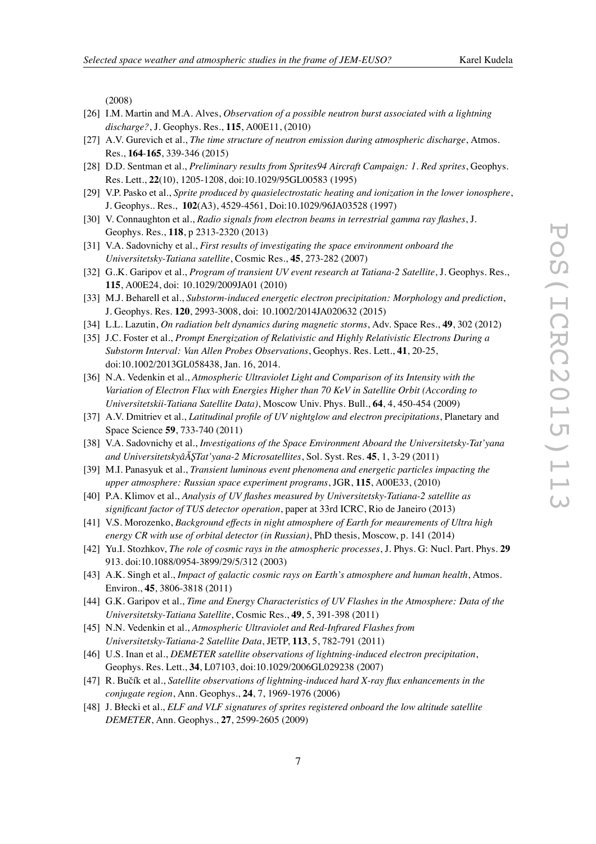(2008)

- [26] I.M. Martin and M.A. Alves, *Observation of a possible neutron burst associated with a lightning discharge?*, J. Geophys. Res., **115**, A00E11, (2010)
- [27] A.V. Gurevich et al., *The time structure of neutron emission during atmospheric discharge*, Atmos. Res., **164** -**165**, 339-346 (2015)
- [28] D.D. Sentman et al., *Preliminary results from Sprites94 Aircraft Campaign: 1. Red sprites*, Geophys. Res. Lett., **22**(10), 1205-1208, doi:10.1029/95GL00583 (1995)
- [29] V.P. Pasko et al., *Sprite produced by quasielectrostatic heating and ionization in the lower ionosphere* , J. Geophys.. Res., **102**(A3), 4529-4561, Doi:10.1029/96JA03528 (1997)
- [30] V. Connaughton et al., *Radio signals from electron beams in terrestrial gamma ray flashes*, J. Geophys. Res., **118**, p 2313-2320 (2013)
- [31] V.A. Sadovnichy et al., *First results of investigating the space environment onboard the Universitetsky-Tatiana satellite*, Cosmic Res., **45**, 273-282 (2007)
- [32] G..K. Garipov et al., *Program of transient UV event research at Tatiana-2 Satellite*, J. Geophys. Res., **115**, A00E24, doi: 10.1029/2009JA01 (2010)
- [33] M.J. Beharell et al., *Substorm-induced energetic electron precipitation: Morphology and prediction* , J. Geophys. Res. **120**, 2993-3008, doi: 10.1002/2014JA020632 (2015)
- [34] L.L. Lazutin, *On radiation belt dynamics during magnetic storms*, Adv. Space Res., **49**, 302 (2012)
- [35] J.C. Foster et al., *Prompt Energization of Relativistic and Highly Relativistic Electrons During a Substorm Interval: Van Allen Probes Observations*, Geophys. Res. Lett., **41**, 20-25, doi:10.1002/2013GL058438, Jan. 16, 2014.
- [36] N.A. Vedenkin et al., *Atmospheric Ultraviolet Light and Comparison of its Intensity with the Variation of Electron Flux with Energies Higher than 70 KeV in Satellite Orbit (According to Universitetskii-Tatiana Satellite Data)*, Moscow Univ. Phys. Bull., **64**, 4, 450-454 (2009)
- [37] A.V. Dmitriev et al., *Latitudinal profile of UV nightglow and electron precipitations*, Planetary and Space Science **59**, 733-740 (2011)
- [38] V.A. Sadovnichy et al., *Investigations of the Space Environment Aboard the Universitetsky-Tat'yana and UniversitetskyâA ¸STat'yana-2 Microsatellites ˘* , Sol. Syst. Res. **45**, 1, 3-29 (2011)
- [39] M.I. Panasyuk et al., *Transient luminous event phenomena and energetic particles impacting the upper atmosphere: Russian space experiment programs*, JGR, **115**, A00E33, (2010)
- [40] P.A. Klimov et al., *Analysis of UV flashes measured by Universitetsky-Tatiana-2 satellite as significant factor of TUS detector operation*, paper at 33rd ICRC, Rio de Janeiro (2013)
- [41] V.S. Morozenko, *Background effects in night atmosphere of Earth for meaurements of Ultra high energy CR with use of orbital detector (in Russian)*, PhD thesis, Moscow, p. 141 (2014)
- [42] Yu.I. Stozhkov, *The role of cosmic rays in the atmospheric processes*, J. Phys. G: Nucl. Part. Phys. **29** 913. doi:10.1088/0954-3899/29/5/312 (2003)
- [43] A.K. Singh et al., *Impact of galactic cosmic rays on Earth's atmosphere and human health*, Atmos. Environ., **45**, 3806-3818 (2011)
- [44] G.K. Garipov et al., *Time and Energy Characteristics of UV Flashes in the Atmosphere: Data of the Universitetsky-Tatiana Satellite*, Cosmic Res., **49**, 5, 391-398 (2011)
- [45] N.N. Vedenkin et al., *Atmospheric Ultraviolet and Red-Infrared Flashes from Universitetsky-Tatiana-2 Satellite Data*, JETP, **113**, 5, 782-791 (2011)
- [46] U.S. Inan et al., *DEMETER satellite observations of lightning-induced electron precipitation* , Geophys. Res. Lett., **34**, L07103, doi:10.1029/2006GL029238 (2007)
- [47] R. Bučík et al., *Satellite observations of lightning-induced hard X-ray flux enhancements in the conjugate region*, Ann. Geophys., **24**, 7, 1969-1976 (2006)
- [48] J. B łecki et al., *ELF and VLF signatures of sprites registered onboard the low altitude satellite DEMETER*, Ann. Geophys., **27**, 2599-2605 (2009)